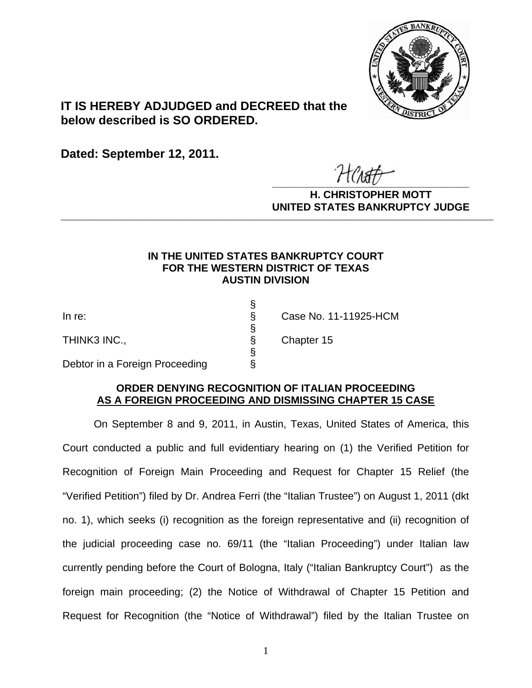

# **IT IS HEREBY ADJUDGED and DECREED that the below described is SO ORDERED.**

**Dated: September 12, 2011.**

 $\overline{r}$   $\overline{r}$   $\overline{r}$   $\overline{r}$   $\overline{r}$   $\overline{r}$   $\overline{r}$   $\overline{r}$   $\overline{r}$   $\overline{r}$   $\overline{r}$   $\overline{r}$   $\overline{r}$   $\overline{r}$   $\overline{r}$   $\overline{r}$   $\overline{r}$   $\overline{r}$   $\overline{r}$   $\overline{r}$   $\overline{r}$   $\overline{r}$   $\overline{r}$   $\overline{r}$   $\overline{$ 

**H. CHRISTOPHER MOTT UNITED STATES BANKRUPTCY JUDGE PATTED DRIVING TOT 00DCL** 

### **IN THE UNITED STATES BANKRUPTCY COURT FOR THE WESTERN DISTRICT OF TEXAS AUSTIN DIVISION**

THINK3 INC., Sand Sand Strategies Chapter 15

 § Debtor in a Foreign Proceeding

§

§

In re:<br>
THINK3 INC.,<br>
Debtor in a Foreign Proceeding<br>  $\begin{array}{ccc}\n & \S & \text{Case No. 11-11925-HCM} \\
\S & \text{Chapter 15} \\
 & \S & \text{Chapter 15}\n\end{array}$ 

## **ORDER DENYING RECOGNITION OF ITALIAN PROCEEDING AS A FOREIGN PROCEEDING AND DISMISSING CHAPTER 15 CASE**

On September 8 and 9, 2011, in Austin, Texas, United States of America, this Court conducted a public and full evidentiary hearing on (1) the Verified Petition for Recognition of Foreign Main Proceeding and Request for Chapter 15 Relief (the "Verified Petition") filed by Dr. Andrea Ferri (the "Italian Trustee") on August 1, 2011 (dkt no. 1), which seeks (i) recognition as the foreign representative and (ii) recognition of the judicial proceeding case no. 69/11 (the "Italian Proceeding") under Italian law currently pending before the Court of Bologna, Italy ("Italian Bankruptcy Court") as the foreign main proceeding; (2) the Notice of Withdrawal of Chapter 15 Petition and Request for Recognition (the "Notice of Withdrawal") filed by the Italian Trustee on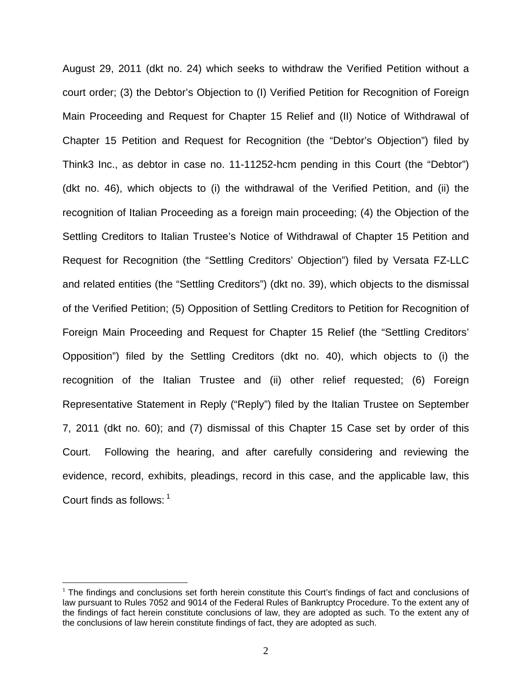August 29, 2011 (dkt no. 24) which seeks to withdraw the Verified Petition without a court order; (3) the Debtor's Objection to (I) Verified Petition for Recognition of Foreign Main Proceeding and Request for Chapter 15 Relief and (II) Notice of Withdrawal of Chapter 15 Petition and Request for Recognition (the "Debtor's Objection") filed by Think3 Inc., as debtor in case no. 11-11252-hcm pending in this Court (the "Debtor") (dkt no. 46), which objects to (i) the withdrawal of the Verified Petition, and (ii) the recognition of Italian Proceeding as a foreign main proceeding; (4) the Objection of the Settling Creditors to Italian Trustee's Notice of Withdrawal of Chapter 15 Petition and Request for Recognition (the "Settling Creditors' Objection") filed by Versata FZ-LLC and related entities (the "Settling Creditors") (dkt no. 39), which objects to the dismissal of the Verified Petition; (5) Opposition of Settling Creditors to Petition for Recognition of Foreign Main Proceeding and Request for Chapter 15 Relief (the "Settling Creditors' Opposition") filed by the Settling Creditors (dkt no. 40), which objects to (i) the recognition of the Italian Trustee and (ii) other relief requested; (6) Foreign Representative Statement in Reply ("Reply") filed by the Italian Trustee on September 7, 2011 (dkt no. 60); and (7) dismissal of this Chapter 15 Case set by order of this Court. Following the hearing, and after carefully considering and reviewing the evidence, record, exhibits, pleadings, record in this case, and the applicable law, this Court finds as follows: <sup>1</sup>

 $\overline{a}$ 

 $1$  The findings and conclusions set forth herein constitute this Court's findings of fact and conclusions of law pursuant to Rules 7052 and 9014 of the Federal Rules of Bankruptcy Procedure. To the extent any of the findings of fact herein constitute conclusions of law, they are adopted as such. To the extent any of the conclusions of law herein constitute findings of fact, they are adopted as such.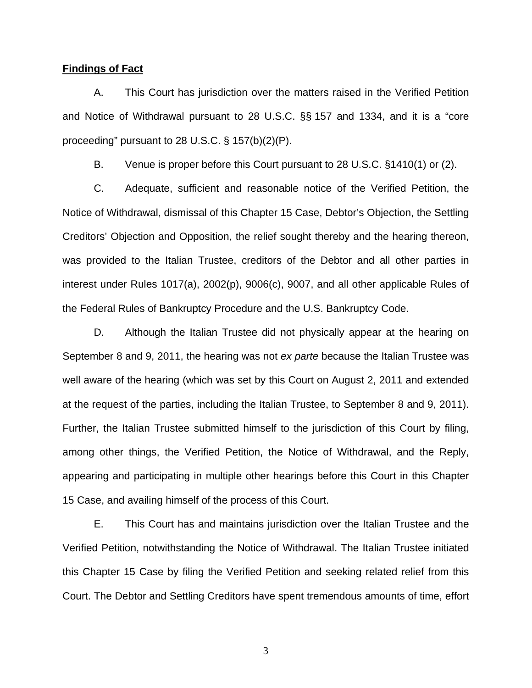### **Findings of Fact**

A. This Court has jurisdiction over the matters raised in the Verified Petition and Notice of Withdrawal pursuant to 28 U.S.C. §§ 157 and 1334, and it is a "core proceeding" pursuant to 28 U.S.C. § 157(b)(2)(P).

B. Venue is proper before this Court pursuant to 28 U.S.C. §1410(1) or (2).

C. Adequate, sufficient and reasonable notice of the Verified Petition, the Notice of Withdrawal, dismissal of this Chapter 15 Case, Debtor's Objection, the Settling Creditors' Objection and Opposition, the relief sought thereby and the hearing thereon, was provided to the Italian Trustee, creditors of the Debtor and all other parties in interest under Rules 1017(a), 2002(p), 9006(c), 9007, and all other applicable Rules of the Federal Rules of Bankruptcy Procedure and the U.S. Bankruptcy Code.

D. Although the Italian Trustee did not physically appear at the hearing on September 8 and 9, 2011, the hearing was not *ex parte* because the Italian Trustee was well aware of the hearing (which was set by this Court on August 2, 2011 and extended at the request of the parties, including the Italian Trustee, to September 8 and 9, 2011). Further, the Italian Trustee submitted himself to the jurisdiction of this Court by filing, among other things, the Verified Petition, the Notice of Withdrawal, and the Reply, appearing and participating in multiple other hearings before this Court in this Chapter 15 Case, and availing himself of the process of this Court.

E. This Court has and maintains jurisdiction over the Italian Trustee and the Verified Petition, notwithstanding the Notice of Withdrawal. The Italian Trustee initiated this Chapter 15 Case by filing the Verified Petition and seeking related relief from this Court. The Debtor and Settling Creditors have spent tremendous amounts of time, effort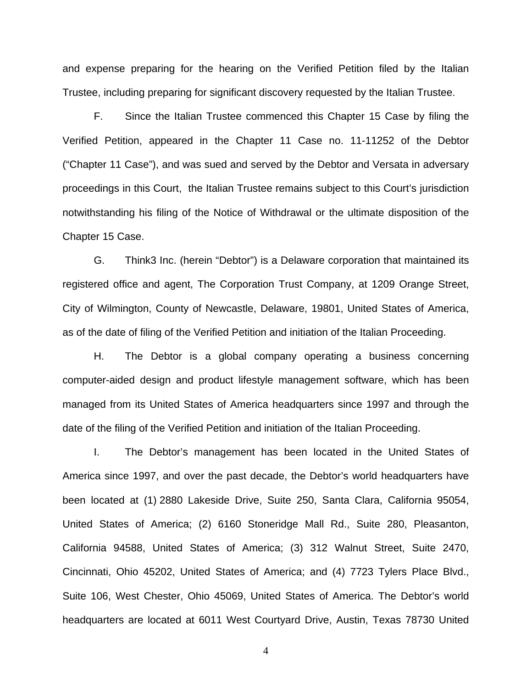and expense preparing for the hearing on the Verified Petition filed by the Italian Trustee, including preparing for significant discovery requested by the Italian Trustee.

F. Since the Italian Trustee commenced this Chapter 15 Case by filing the Verified Petition, appeared in the Chapter 11 Case no. 11-11252 of the Debtor ("Chapter 11 Case"), and was sued and served by the Debtor and Versata in adversary proceedings in this Court, the Italian Trustee remains subject to this Court's jurisdiction notwithstanding his filing of the Notice of Withdrawal or the ultimate disposition of the Chapter 15 Case.

G. Think3 Inc. (herein "Debtor") is a Delaware corporation that maintained its registered office and agent, The Corporation Trust Company, at 1209 Orange Street, City of Wilmington, County of Newcastle, Delaware, 19801, United States of America, as of the date of filing of the Verified Petition and initiation of the Italian Proceeding.

H. The Debtor is a global company operating a business concerning computer-aided design and product lifestyle management software, which has been managed from its United States of America headquarters since 1997 and through the date of the filing of the Verified Petition and initiation of the Italian Proceeding.

I. The Debtor's management has been located in the United States of America since 1997, and over the past decade, the Debtor's world headquarters have been located at (1) 2880 Lakeside Drive, Suite 250, Santa Clara, California 95054, United States of America; (2) 6160 Stoneridge Mall Rd., Suite 280, Pleasanton, California 94588, United States of America; (3) 312 Walnut Street, Suite 2470, Cincinnati, Ohio 45202, United States of America; and (4) 7723 Tylers Place Blvd., Suite 106, West Chester, Ohio 45069, United States of America. The Debtor's world headquarters are located at 6011 West Courtyard Drive, Austin, Texas 78730 United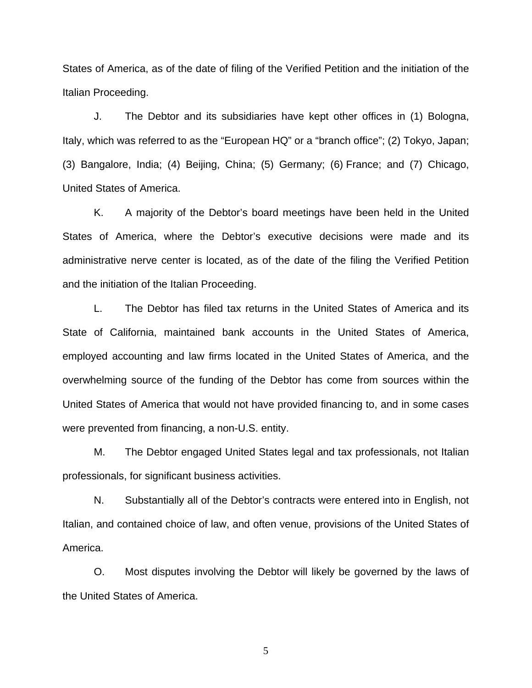States of America, as of the date of filing of the Verified Petition and the initiation of the Italian Proceeding.

J. The Debtor and its subsidiaries have kept other offices in (1) Bologna, Italy, which was referred to as the "European HQ" or a "branch office"; (2) Tokyo, Japan; (3) Bangalore, India; (4) Beijing, China; (5) Germany; (6) France; and (7) Chicago, United States of America.

K. A majority of the Debtor's board meetings have been held in the United States of America, where the Debtor's executive decisions were made and its administrative nerve center is located, as of the date of the filing the Verified Petition and the initiation of the Italian Proceeding.

L. The Debtor has filed tax returns in the United States of America and its State of California, maintained bank accounts in the United States of America, employed accounting and law firms located in the United States of America, and the overwhelming source of the funding of the Debtor has come from sources within the United States of America that would not have provided financing to, and in some cases were prevented from financing, a non-U.S. entity.

M. The Debtor engaged United States legal and tax professionals, not Italian professionals, for significant business activities.

N. Substantially all of the Debtor's contracts were entered into in English, not Italian, and contained choice of law, and often venue, provisions of the United States of America.

O. Most disputes involving the Debtor will likely be governed by the laws of the United States of America.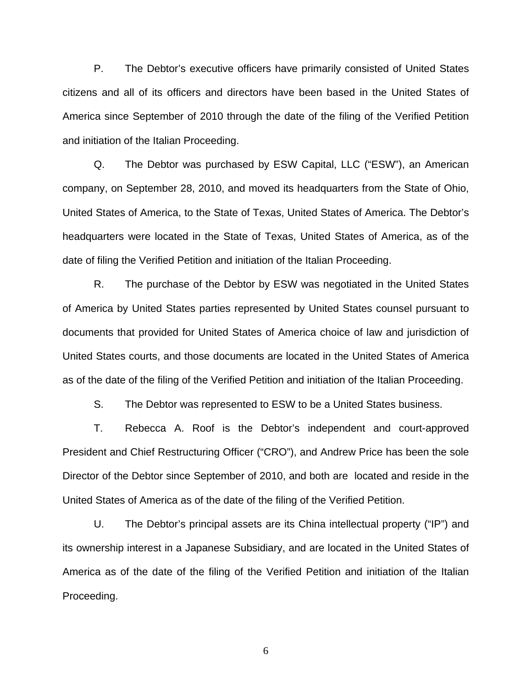P. The Debtor's executive officers have primarily consisted of United States citizens and all of its officers and directors have been based in the United States of America since September of 2010 through the date of the filing of the Verified Petition and initiation of the Italian Proceeding.

Q. The Debtor was purchased by ESW Capital, LLC ("ESW"), an American company, on September 28, 2010, and moved its headquarters from the State of Ohio, United States of America, to the State of Texas, United States of America. The Debtor's headquarters were located in the State of Texas, United States of America, as of the date of filing the Verified Petition and initiation of the Italian Proceeding.

R. The purchase of the Debtor by ESW was negotiated in the United States of America by United States parties represented by United States counsel pursuant to documents that provided for United States of America choice of law and jurisdiction of United States courts, and those documents are located in the United States of America as of the date of the filing of the Verified Petition and initiation of the Italian Proceeding.

S. The Debtor was represented to ESW to be a United States business.

T. Rebecca A. Roof is the Debtor's independent and court-approved President and Chief Restructuring Officer ("CRO"), and Andrew Price has been the sole Director of the Debtor since September of 2010, and both are located and reside in the United States of America as of the date of the filing of the Verified Petition.

U. The Debtor's principal assets are its China intellectual property ("IP") and its ownership interest in a Japanese Subsidiary, and are located in the United States of America as of the date of the filing of the Verified Petition and initiation of the Italian Proceeding.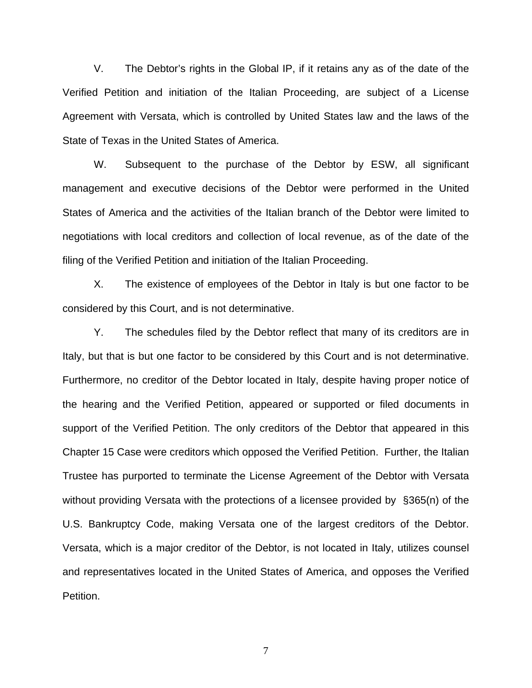V. The Debtor's rights in the Global IP, if it retains any as of the date of the Verified Petition and initiation of the Italian Proceeding, are subject of a License Agreement with Versata, which is controlled by United States law and the laws of the State of Texas in the United States of America.

W. Subsequent to the purchase of the Debtor by ESW, all significant management and executive decisions of the Debtor were performed in the United States of America and the activities of the Italian branch of the Debtor were limited to negotiations with local creditors and collection of local revenue, as of the date of the filing of the Verified Petition and initiation of the Italian Proceeding.

X. The existence of employees of the Debtor in Italy is but one factor to be considered by this Court, and is not determinative.

Y. The schedules filed by the Debtor reflect that many of its creditors are in Italy, but that is but one factor to be considered by this Court and is not determinative. Furthermore, no creditor of the Debtor located in Italy, despite having proper notice of the hearing and the Verified Petition, appeared or supported or filed documents in support of the Verified Petition. The only creditors of the Debtor that appeared in this Chapter 15 Case were creditors which opposed the Verified Petition. Further, the Italian Trustee has purported to terminate the License Agreement of the Debtor with Versata without providing Versata with the protections of a licensee provided by §365(n) of the U.S. Bankruptcy Code, making Versata one of the largest creditors of the Debtor. Versata, which is a major creditor of the Debtor, is not located in Italy, utilizes counsel and representatives located in the United States of America, and opposes the Verified Petition.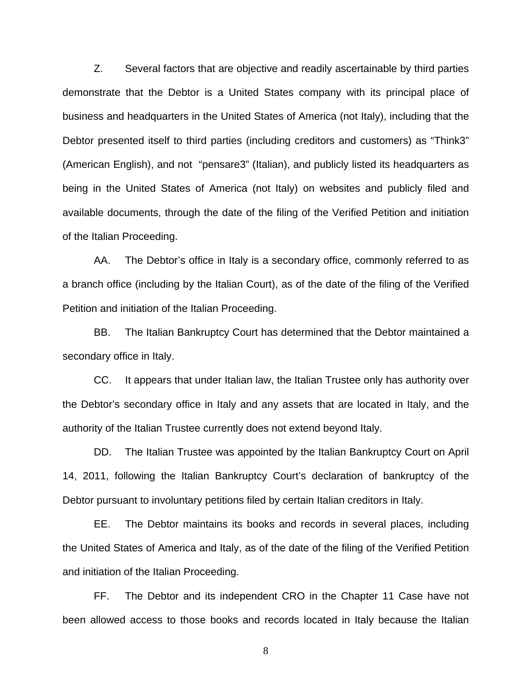Z. Several factors that are objective and readily ascertainable by third parties demonstrate that the Debtor is a United States company with its principal place of business and headquarters in the United States of America (not Italy), including that the Debtor presented itself to third parties (including creditors and customers) as "Think3" (American English), and not "pensare3" (Italian), and publicly listed its headquarters as being in the United States of America (not Italy) on websites and publicly filed and available documents, through the date of the filing of the Verified Petition and initiation of the Italian Proceeding.

AA. The Debtor's office in Italy is a secondary office, commonly referred to as a branch office (including by the Italian Court), as of the date of the filing of the Verified Petition and initiation of the Italian Proceeding.

BB. The Italian Bankruptcy Court has determined that the Debtor maintained a secondary office in Italy.

CC. It appears that under Italian law, the Italian Trustee only has authority over the Debtor's secondary office in Italy and any assets that are located in Italy, and the authority of the Italian Trustee currently does not extend beyond Italy.

DD. The Italian Trustee was appointed by the Italian Bankruptcy Court on April 14, 2011, following the Italian Bankruptcy Court's declaration of bankruptcy of the Debtor pursuant to involuntary petitions filed by certain Italian creditors in Italy.

EE. The Debtor maintains its books and records in several places, including the United States of America and Italy, as of the date of the filing of the Verified Petition and initiation of the Italian Proceeding.

FF. The Debtor and its independent CRO in the Chapter 11 Case have not been allowed access to those books and records located in Italy because the Italian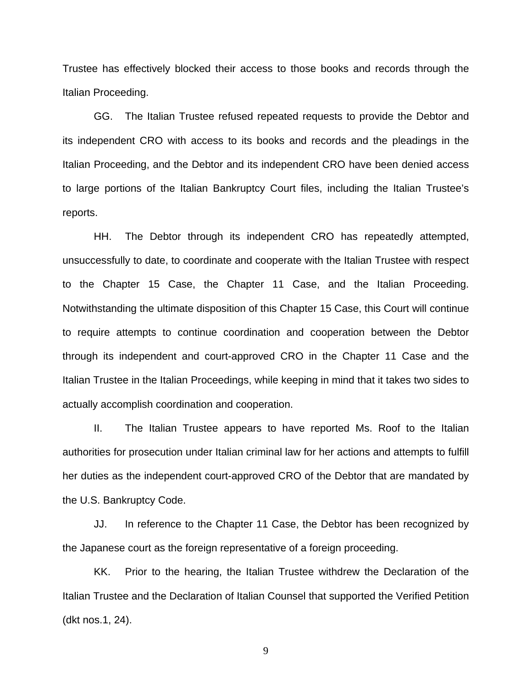Trustee has effectively blocked their access to those books and records through the Italian Proceeding.

GG. The Italian Trustee refused repeated requests to provide the Debtor and its independent CRO with access to its books and records and the pleadings in the Italian Proceeding, and the Debtor and its independent CRO have been denied access to large portions of the Italian Bankruptcy Court files, including the Italian Trustee's reports.

HH. The Debtor through its independent CRO has repeatedly attempted, unsuccessfully to date, to coordinate and cooperate with the Italian Trustee with respect to the Chapter 15 Case, the Chapter 11 Case, and the Italian Proceeding. Notwithstanding the ultimate disposition of this Chapter 15 Case, this Court will continue to require attempts to continue coordination and cooperation between the Debtor through its independent and court-approved CRO in the Chapter 11 Case and the Italian Trustee in the Italian Proceedings, while keeping in mind that it takes two sides to actually accomplish coordination and cooperation.

II. The Italian Trustee appears to have reported Ms. Roof to the Italian authorities for prosecution under Italian criminal law for her actions and attempts to fulfill her duties as the independent court-approved CRO of the Debtor that are mandated by the U.S. Bankruptcy Code.

JJ. In reference to the Chapter 11 Case, the Debtor has been recognized by the Japanese court as the foreign representative of a foreign proceeding.

KK. Prior to the hearing, the Italian Trustee withdrew the Declaration of the Italian Trustee and the Declaration of Italian Counsel that supported the Verified Petition (dkt nos.1, 24).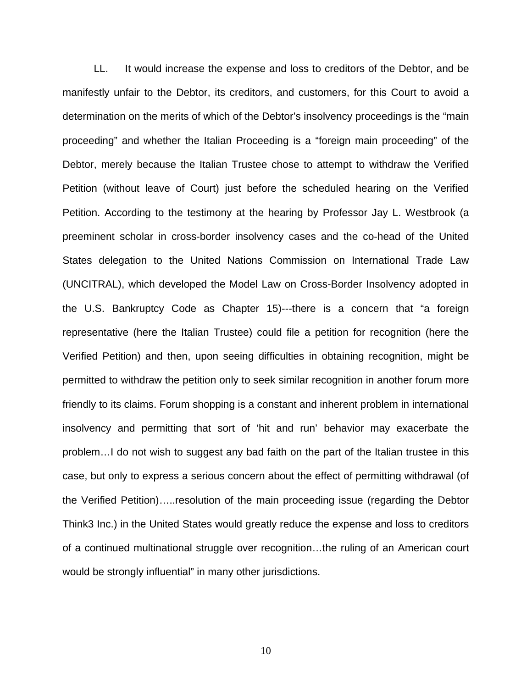LL. It would increase the expense and loss to creditors of the Debtor, and be manifestly unfair to the Debtor, its creditors, and customers, for this Court to avoid a determination on the merits of which of the Debtor's insolvency proceedings is the "main proceeding" and whether the Italian Proceeding is a "foreign main proceeding" of the Debtor, merely because the Italian Trustee chose to attempt to withdraw the Verified Petition (without leave of Court) just before the scheduled hearing on the Verified Petition. According to the testimony at the hearing by Professor Jay L. Westbrook (a preeminent scholar in cross-border insolvency cases and the co-head of the United States delegation to the United Nations Commission on International Trade Law (UNCITRAL), which developed the Model Law on Cross-Border Insolvency adopted in the U.S. Bankruptcy Code as Chapter 15)---there is a concern that "a foreign representative (here the Italian Trustee) could file a petition for recognition (here the Verified Petition) and then, upon seeing difficulties in obtaining recognition, might be permitted to withdraw the petition only to seek similar recognition in another forum more friendly to its claims. Forum shopping is a constant and inherent problem in international insolvency and permitting that sort of 'hit and run' behavior may exacerbate the problem…I do not wish to suggest any bad faith on the part of the Italian trustee in this case, but only to express a serious concern about the effect of permitting withdrawal (of the Verified Petition)…..resolution of the main proceeding issue (regarding the Debtor Think3 Inc.) in the United States would greatly reduce the expense and loss to creditors of a continued multinational struggle over recognition…the ruling of an American court would be strongly influential" in many other jurisdictions.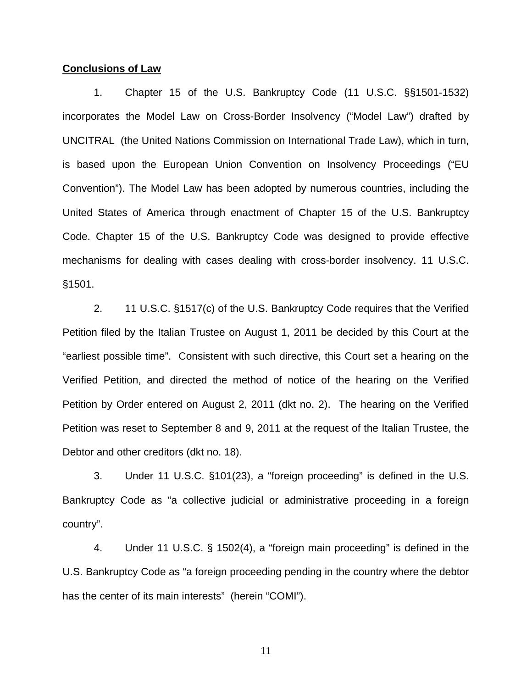### **Conclusions of Law**

1. Chapter 15 of the U.S. Bankruptcy Code (11 U.S.C. §§1501-1532) incorporates the Model Law on Cross-Border Insolvency ("Model Law") drafted by UNCITRAL (the United Nations Commission on International Trade Law), which in turn, is based upon the European Union Convention on Insolvency Proceedings ("EU Convention"). The Model Law has been adopted by numerous countries, including the United States of America through enactment of Chapter 15 of the U.S. Bankruptcy Code. Chapter 15 of the U.S. Bankruptcy Code was designed to provide effective mechanisms for dealing with cases dealing with cross-border insolvency. 11 U.S.C. §1501.

2. 11 U.S.C. §1517(c) of the U.S. Bankruptcy Code requires that the Verified Petition filed by the Italian Trustee on August 1, 2011 be decided by this Court at the "earliest possible time". Consistent with such directive, this Court set a hearing on the Verified Petition, and directed the method of notice of the hearing on the Verified Petition by Order entered on August 2, 2011 (dkt no. 2). The hearing on the Verified Petition was reset to September 8 and 9, 2011 at the request of the Italian Trustee, the Debtor and other creditors (dkt no. 18).

3. Under 11 U.S.C. §101(23), a "foreign proceeding" is defined in the U.S. Bankruptcy Code as "a collective judicial or administrative proceeding in a foreign country".

4. Under 11 U.S.C. § 1502(4), a "foreign main proceeding" is defined in the U.S. Bankruptcy Code as "a foreign proceeding pending in the country where the debtor has the center of its main interests" (herein "COMI").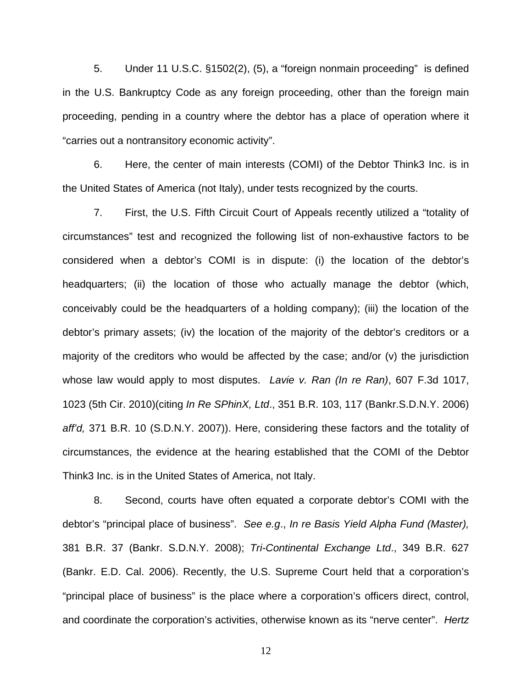5. Under 11 U.S.C. §1502(2), (5), a "foreign nonmain proceeding" is defined in the U.S. Bankruptcy Code as any foreign proceeding, other than the foreign main proceeding, pending in a country where the debtor has a place of operation where it "carries out a nontransitory economic activity".

6. Here, the center of main interests (COMI) of the Debtor Think3 Inc. is in the United States of America (not Italy), under tests recognized by the courts.

7. First, the U.S. Fifth Circuit Court of Appeals recently utilized a "totality of circumstances" test and recognized the following list of non-exhaustive factors to be considered when a debtor's COMI is in dispute: (i) the location of the debtor's headquarters; (ii) the location of those who actually manage the debtor (which, conceivably could be the headquarters of a holding company); (iii) the location of the debtor's primary assets; (iv) the location of the majority of the debtor's creditors or a majority of the creditors who would be affected by the case; and/or (v) the jurisdiction whose law would apply to most disputes. *Lavie v. Ran (In re Ran)*, 607 F.3d 1017, 1023 (5th Cir. 2010)(citing *In Re SPhinX, Ltd*., 351 B.R. 103, 117 (Bankr.S.D.N.Y. 2006) *aff'd,* 371 B.R. 10 (S.D.N.Y. 2007)). Here, considering these factors and the totality of circumstances, the evidence at the hearing established that the COMI of the Debtor Think3 Inc. is in the United States of America, not Italy.

8. Second, courts have often equated a corporate debtor's COMI with the debtor's "principal place of business". *See e.g*., *In re Basis Yield Alpha Fund (Master),* 381 B.R. 37 (Bankr. S.D.N.Y. 2008); *Tri-Continental Exchange Ltd*., 349 B.R. 627 (Bankr. E.D. Cal. 2006). Recently, the U.S. Supreme Court held that a corporation's "principal place of business" is the place where a corporation's officers direct, control, and coordinate the corporation's activities, otherwise known as its "nerve center". *Hertz*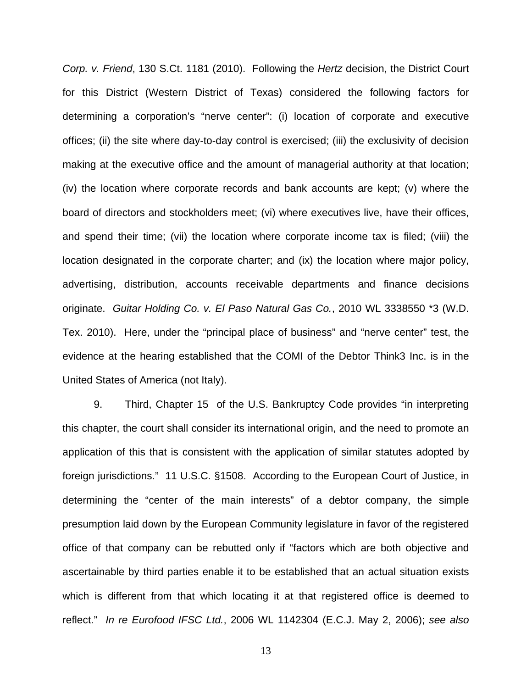*Corp. v. Friend*, 130 S.Ct. 1181 (2010). Following the *Hertz* decision, the District Court for this District (Western District of Texas) considered the following factors for determining a corporation's "nerve center": (i) location of corporate and executive offices; (ii) the site where day-to-day control is exercised; (iii) the exclusivity of decision making at the executive office and the amount of managerial authority at that location; (iv) the location where corporate records and bank accounts are kept; (v) where the board of directors and stockholders meet; (vi) where executives live, have their offices, and spend their time; (vii) the location where corporate income tax is filed; (viii) the location designated in the corporate charter; and (ix) the location where major policy, advertising, distribution, accounts receivable departments and finance decisions originate. *Guitar Holding Co. v. El Paso Natural Gas Co.*, 2010 WL 3338550 \*3 (W.D. Tex. 2010). Here, under the "principal place of business" and "nerve center" test, the evidence at the hearing established that the COMI of the Debtor Think3 Inc. is in the United States of America (not Italy).

9. Third, Chapter 15 of the U.S. Bankruptcy Code provides "in interpreting this chapter, the court shall consider its international origin, and the need to promote an application of this that is consistent with the application of similar statutes adopted by foreign jurisdictions." 11 U.S.C. §1508. According to the European Court of Justice, in determining the "center of the main interests" of a debtor company, the simple presumption laid down by the European Community legislature in favor of the registered office of that company can be rebutted only if "factors which are both objective and ascertainable by third parties enable it to be established that an actual situation exists which is different from that which locating it at that registered office is deemed to reflect." *In re Eurofood IFSC Ltd.*, 2006 WL 1142304 (E.C.J. May 2, 2006); *see also*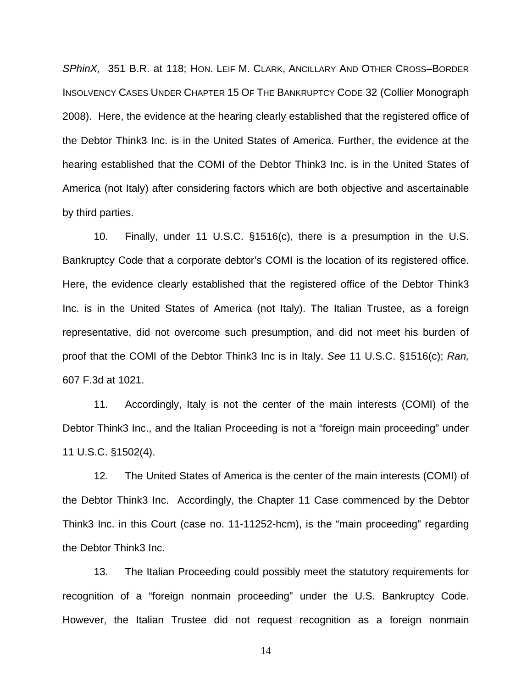*SPhinX,* 351 B.R. at 118; HON. LEIF M. CLARK, ANCILLARY AND OTHER CROSS–BORDER INSOLVENCY CASES UNDER CHAPTER 15 OF THE BANKRUPTCY CODE 32 (Collier Monograph 2008). Here, the evidence at the hearing clearly established that the registered office of the Debtor Think3 Inc. is in the United States of America. Further, the evidence at the hearing established that the COMI of the Debtor Think3 Inc. is in the United States of America (not Italy) after considering factors which are both objective and ascertainable by third parties.

10. Finally, under 11 U.S.C. §1516(c), there is a presumption in the U.S. Bankruptcy Code that a corporate debtor's COMI is the location of its registered office. Here, the evidence clearly established that the registered office of the Debtor Think3 Inc. is in the United States of America (not Italy). The Italian Trustee, as a foreign representative, did not overcome such presumption, and did not meet his burden of proof that the COMI of the Debtor Think3 Inc is in Italy. *See* 11 U.S.C. §1516(c); *Ran,* 607 F.3d at 1021.

11. Accordingly, Italy is not the center of the main interests (COMI) of the Debtor Think3 Inc., and the Italian Proceeding is not a "foreign main proceeding" under 11 U.S.C. §1502(4).

12. The United States of America is the center of the main interests (COMI) of the Debtor Think3 Inc. Accordingly, the Chapter 11 Case commenced by the Debtor Think3 Inc. in this Court (case no. 11-11252-hcm), is the "main proceeding" regarding the Debtor Think3 Inc.

13. The Italian Proceeding could possibly meet the statutory requirements for recognition of a "foreign nonmain proceeding" under the U.S. Bankruptcy Code. However, the Italian Trustee did not request recognition as a foreign nonmain